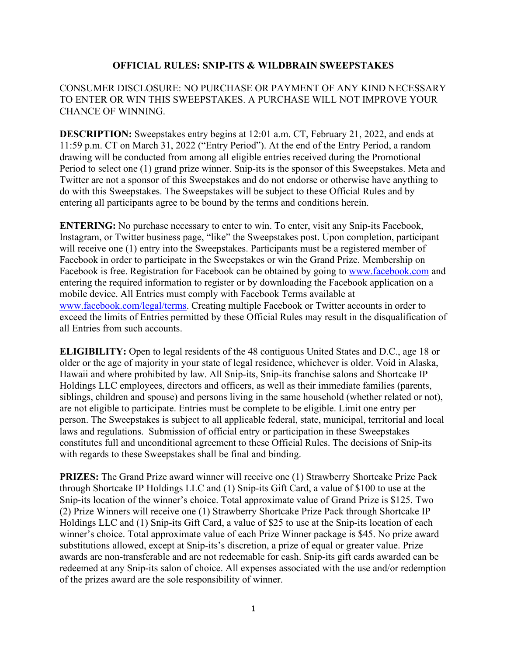## **OFFICIAL RULES: SNIP-ITS & WILDBRAIN SWEEPSTAKES**

## CONSUMER DISCLOSURE: NO PURCHASE OR PAYMENT OF ANY KIND NECESSARY TO ENTER OR WIN THIS SWEEPSTAKES. A PURCHASE WILL NOT IMPROVE YOUR CHANCE OF WINNING.

**DESCRIPTION:** Sweepstakes entry begins at 12:01 a.m. CT, February 21, 2022, and ends at 11:59 p.m. CT on March 31, 2022 ("Entry Period"). At the end of the Entry Period, a random drawing will be conducted from among all eligible entries received during the Promotional Period to select one (1) grand prize winner. Snip-its is the sponsor of this Sweepstakes. Meta and Twitter are not a sponsor of this Sweepstakes and do not endorse or otherwise have anything to do with this Sweepstakes. The Sweepstakes will be subject to these Official Rules and by entering all participants agree to be bound by the terms and conditions herein.

**ENTERING:** No purchase necessary to enter to win. To enter, visit any Snip-its Facebook, Instagram, or Twitter business page, "like" the Sweepstakes post. Upon completion, participant will receive one (1) entry into the Sweepstakes. Participants must be a registered member of Facebook in order to participate in the Sweepstakes or win the Grand Prize. Membership on Facebook is free. Registration for Facebook can be obtained by going to [www.facebook.com](http://www.facebook.com/) and entering the required information to register or by downloading the Facebook application on a mobile device. All Entries must comply with Facebook Terms available at [www.facebook.com/legal/terms.](http://www.facebook.com/legal/terms) Creating multiple Facebook or Twitter accounts in order to exceed the limits of Entries permitted by these Official Rules may result in the disqualification of all Entries from such accounts.

**ELIGIBILITY:** Open to legal residents of the 48 contiguous United States and D.C., age 18 or older or the age of majority in your state of legal residence, whichever is older. Void in Alaska, Hawaii and where prohibited by law. All Snip-its, Snip-its franchise salons and Shortcake IP Holdings LLC employees, directors and officers, as well as their immediate families (parents, siblings, children and spouse) and persons living in the same household (whether related or not), are not eligible to participate. Entries must be complete to be eligible. Limit one entry per person. The Sweepstakes is subject to all applicable federal, state, municipal, territorial and local laws and regulations. Submission of official entry or participation in these Sweepstakes constitutes full and unconditional agreement to these Official Rules. The decisions of Snip-its with regards to these Sweepstakes shall be final and binding.

**PRIZES:** The Grand Prize award winner will receive one (1) Strawberry Shortcake Prize Pack through Shortcake IP Holdings LLC and (1) Snip-its Gift Card, a value of \$100 to use at the Snip-its location of the winner's choice. Total approximate value of Grand Prize is \$125. Two (2) Prize Winners will receive one (1) Strawberry Shortcake Prize Pack through Shortcake IP Holdings LLC and (1) Snip-its Gift Card, a value of \$25 to use at the Snip-its location of each winner's choice. Total approximate value of each Prize Winner package is \$45. No prize award substitutions allowed, except at Snip-its's discretion, a prize of equal or greater value. Prize awards are non-transferable and are not redeemable for cash. Snip-its gift cards awarded can be redeemed at any Snip-its salon of choice. All expenses associated with the use and/or redemption of the prizes award are the sole responsibility of winner.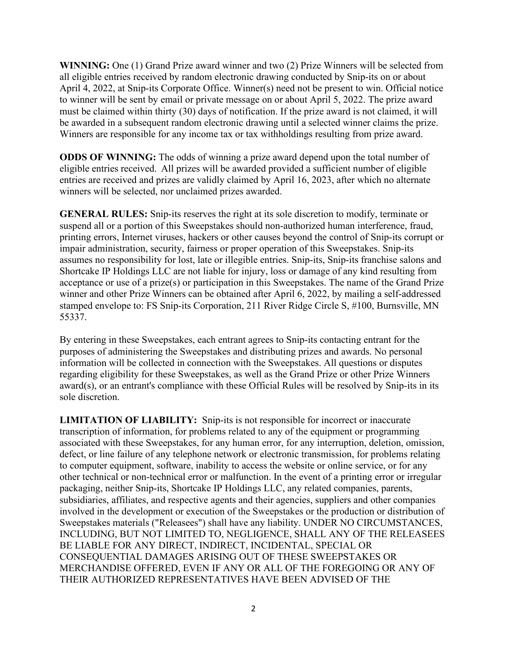**WINNING:** One (1) Grand Prize award winner and two (2) Prize Winners will be selected from all eligible entries received by random electronic drawing conducted by Snip-its on or about April 4, 2022, at Snip-its Corporate Office. Winner(s) need not be present to win. Official notice to winner will be sent by email or private message on or about April 5, 2022. The prize award must be claimed within thirty (30) days of notification. If the prize award is not claimed, it will be awarded in a subsequent random electronic drawing until a selected winner claims the prize. Winners are responsible for any income tax or tax withholdings resulting from prize award.

**ODDS OF WINNING:** The odds of winning a prize award depend upon the total number of eligible entries received. All prizes will be awarded provided a sufficient number of eligible entries are received and prizes are validly claimed by April 16, 2023, after which no alternate winners will be selected, nor unclaimed prizes awarded.

**GENERAL RULES:** Snip-its reserves the right at its sole discretion to modify, terminate or suspend all or a portion of this Sweepstakes should non-authorized human interference, fraud, printing errors, Internet viruses, hackers or other causes beyond the control of Snip-its corrupt or impair administration, security, fairness or proper operation of this Sweepstakes. Snip-its assumes no responsibility for lost, late or illegible entries. Snip-its, Snip-its franchise salons and Shortcake IP Holdings LLC are not liable for injury, loss or damage of any kind resulting from acceptance or use of a prize(s) or participation in this Sweepstakes. The name of the Grand Prize winner and other Prize Winners can be obtained after April 6, 2022, by mailing a self-addressed stamped envelope to: FS Snip-its Corporation, 211 River Ridge Circle S, #100, Burnsville, MN 55337.

By entering in these Sweepstakes, each entrant agrees to Snip-its contacting entrant for the purposes of administering the Sweepstakes and distributing prizes and awards. No personal information will be collected in connection with the Sweepstakes. All questions or disputes regarding eligibility for these Sweepstakes, as well as the Grand Prize or other Prize Winners award(s), or an entrant's compliance with these Official Rules will be resolved by Snip-its in its sole discretion.

**LIMITATION OF LIABILITY:** Snip-its is not responsible for incorrect or inaccurate transcription of information, for problems related to any of the equipment or programming associated with these Sweepstakes, for any human error, for any interruption, deletion, omission, defect, or line failure of any telephone network or electronic transmission, for problems relating to computer equipment, software, inability to access the website or online service, or for any other technical or non-technical error or malfunction. In the event of a printing error or irregular packaging, neither Snip-its, Shortcake IP Holdings LLC, any related companies, parents, subsidiaries, affiliates, and respective agents and their agencies, suppliers and other companies involved in the development or execution of the Sweepstakes or the production or distribution of Sweepstakes materials ("Releasees") shall have any liability. UNDER NO CIRCUMSTANCES, INCLUDING, BUT NOT LIMITED TO, NEGLIGENCE, SHALL ANY OF THE RELEASEES BE LIABLE FOR ANY DIRECT, INDIRECT, INCIDENTAL, SPECIAL OR CONSEQUENTIAL DAMAGES ARISING OUT OF THESE SWEEPSTAKES OR MERCHANDISE OFFERED, EVEN IF ANY OR ALL OF THE FOREGOING OR ANY OF THEIR AUTHORIZED REPRESENTATIVES HAVE BEEN ADVISED OF THE